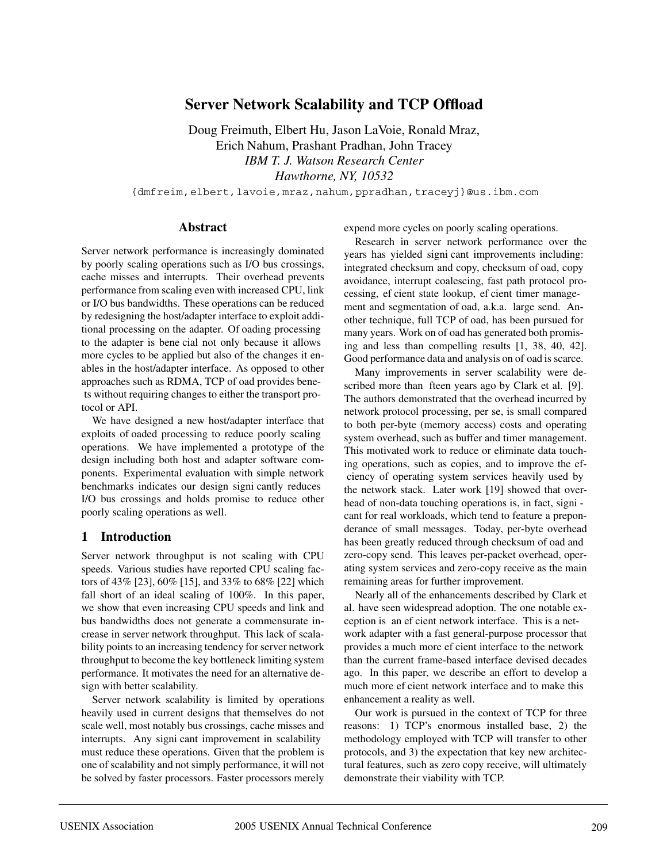# **Server Network Scalability and TCP Offload**

Doug Freimuth, Elbert Hu, Jason LaVoie, Ronald Mraz, Erich Nahum, Prashant Pradhan, John Tracey *IBM T. J. Watson Research Center Hawthorne, NY, 10532*

{dmfreim,elbert,lavoie,mraz,nahum,ppradhan,traceyj}@us.ibm.com

#### **Abstract**

Server network performance is increasingly dominated by poorly scaling operations such as I/O bus crossings, cache misses and interrupts. Their overhead prevents performance from scaling even with increased CPU, link or I/O bus bandwidths. These operations can be reduced by redesigning the host/adapter interface to exploit additional processing on the adapter. Of oading processing to the adapter is bene cial not only because it allows more cycles to be applied but also of the changes it enables in the host/adapter interface. As opposed to other approaches such as RDMA, TCP of oad provides bene ts without requiring changes to either the transport protocol or API.

We have designed a new host/adapter interface that exploits of oaded processing to reduce poorly scaling operations. We have implemented a prototype of the design including both host and adapter software components. Experimental evaluation with simple network benchmarks indicates our design signi cantly reduces I/O bus crossings and holds promise to reduce other poorly scaling operations as well.

### **1 Introduction**

Server network throughput is not scaling with CPU speeds. Various studies have reported CPU scaling factors of 43% [23], 60% [15], and 33% to 68% [22] which fall short of an ideal scaling of 100%. In this paper, we show that even increasing CPU speeds and link and bus bandwidths does not generate a commensurate increase in server network throughput. This lack of scalability points to an increasing tendency for server network throughput to become the key bottleneck limiting system performance. It motivates the need for an alternative design with better scalability.

Server network scalability is limited by operations heavily used in current designs that themselves do not scale well, most notably bus crossings, cache misses and interrupts. Any signi cant improvement in scalability must reduce these operations. Given that the problem is one of scalability and not simply performance, it will not be solved by faster processors. Faster processors merely

expend more cycles on poorly scaling operations.

Research in server network performance over the years has yielded signi cant improvements including: integrated checksum and copy, checksum of oad, copy avoidance, interrupt coalescing, fast path protocol processing, ef cient state lookup, ef cient timer management and segmentation of oad, a.k.a. large send. Another technique, full TCP of oad, has been pursued for many years. Work on of oad has generated both promising and less than compelling results [1, 38, 40, 42]. Good performance data and analysis on of oad is scarce.

Many improvements in server scalability were described more than fteen years ago by Clark et al. [9]. The authors demonstrated that the overhead incurred by network protocol processing, per se, is small compared to both per-byte (memory access) costs and operating system overhead, such as buffer and timer management. This motivated work to reduce or eliminate data touching operations, such as copies, and to improve the ef ciency of operating system services heavily used by the network stack. Later work [19] showed that overhead of non-data touching operations is, in fact, signi cant for real workloads, which tend to feature a preponderance of small messages. Today, per-byte overhead has been greatly reduced through checksum of oad and zero-copy send. This leaves per-packet overhead, operating system services and zero-copy receive as the main remaining areas for further improvement.

Nearly all of the enhancements described by Clark et al. have seen widespread adoption. The one notable exception is an ef cient network interface. This is a network adapter with a fast general-purpose processor that provides a much more ef cient interface to the network than the current frame-based interface devised decades ago. In this paper, we describe an effort to develop a much more ef cient network interface and to make this enhancement a reality as well.

Our work is pursued in the context of TCP for three reasons: 1) TCP's enormous installed base, 2) the methodology employed with TCP will transfer to other protocols, and 3) the expectation that key new architectural features, such as zero copy receive, will ultimately demonstrate their viability with TCP.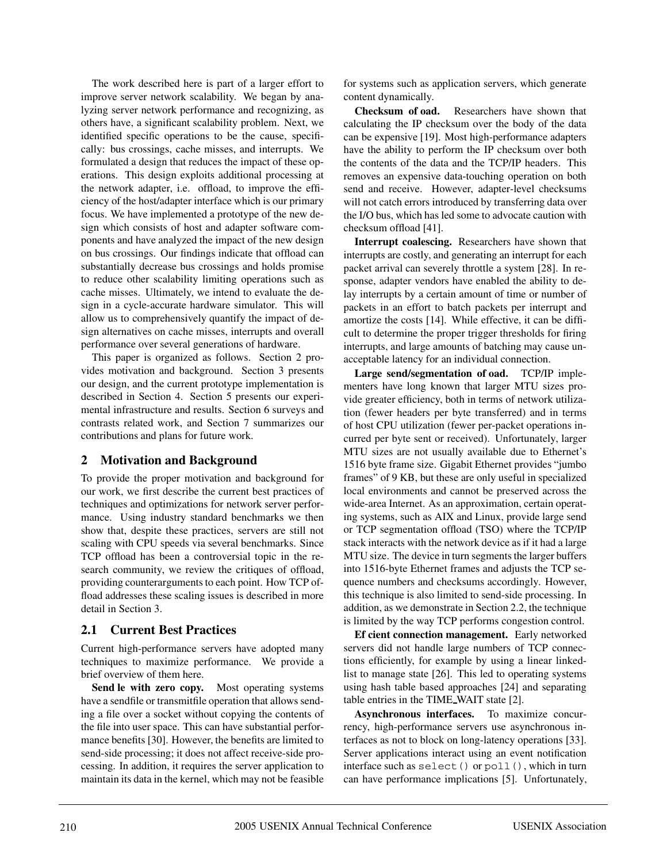The work described here is part of a larger effort to improve server network scalability. We began by analyzing server network performance and recognizing, as others have, a significant scalability problem. Next, we identified specific operations to be the cause, specifically: bus crossings, cache misses, and interrupts. We formulated a design that reduces the impact of these operations. This design exploits additional processing at the network adapter, i.e. offload, to improve the efficiency of the host/adapter interface which is our primary focus. We have implemented a prototype of the new design which consists of host and adapter software components and have analyzed the impact of the new design on bus crossings. Our findings indicate that offload can substantially decrease bus crossings and holds promise to reduce other scalability limiting operations such as cache misses. Ultimately, we intend to evaluate the design in a cycle-accurate hardware simulator. This will allow us to comprehensively quantify the impact of design alternatives on cache misses, interrupts and overall performance over several generations of hardware.

This paper is organized as follows. Section 2 provides motivation and background. Section 3 presents our design, and the current prototype implementation is described in Section 4. Section 5 presents our experimental infrastructure and results. Section 6 surveys and contrasts related work, and Section 7 summarizes our contributions and plans for future work.

## **2 Motivation and Background**

To provide the proper motivation and background for our work, we first describe the current best practices of techniques and optimizations for network server performance. Using industry standard benchmarks we then show that, despite these practices, servers are still not scaling with CPU speeds via several benchmarks. Since TCP offload has been a controversial topic in the research community, we review the critiques of offload, providing counterarguments to each point. How TCP offload addresses these scaling issues is described in more detail in Section 3.

## **2.1 Current Best Practices**

Current high-performance servers have adopted many techniques to maximize performance. We provide a brief overview of them here.

**Send le with zero copy.** Most operating systems have a sendfile or transmitfile operation that allows sending a file over a socket without copying the contents of the file into user space. This can have substantial performance benefits [30]. However, the benefits are limited to send-side processing; it does not affect receive-side processing. In addition, it requires the server application to maintain its data in the kernel, which may not be feasible

for systems such as application servers, which generate content dynamically.

**Checksum of oad.** Researchers have shown that calculating the IP checksum over the body of the data can be expensive [19]. Most high-performance adapters have the ability to perform the IP checksum over both the contents of the data and the TCP/IP headers. This removes an expensive data-touching operation on both send and receive. However, adapter-level checksums will not catch errors introduced by transferring data over the I/O bus, which has led some to advocate caution with checksum offload [41].

**Interrupt coalescing.** Researchers have shown that interrupts are costly, and generating an interrupt for each packet arrival can severely throttle a system [28]. In response, adapter vendors have enabled the ability to delay interrupts by a certain amount of time or number of packets in an effort to batch packets per interrupt and amortize the costs [14]. While effective, it can be difficult to determine the proper trigger thresholds for firing interrupts, and large amounts of batching may cause unacceptable latency for an individual connection.

**Large send/segmentation of oad.** TCP/IP implementers have long known that larger MTU sizes provide greater efficiency, both in terms of network utilization (fewer headers per byte transferred) and in terms of host CPU utilization (fewer per-packet operations incurred per byte sent or received). Unfortunately, larger MTU sizes are not usually available due to Ethernet's 1516 byte frame size. Gigabit Ethernet provides "jumbo frames" of 9 KB, but these are only useful in specialized local environments and cannot be preserved across the wide-area Internet. As an approximation, certain operating systems, such as AIX and Linux, provide large send or TCP segmentation offload (TSO) where the TCP/IP stack interacts with the network device as if it had a large MTU size. The device in turn segments the larger buffers into 1516-byte Ethernet frames and adjusts the TCP sequence numbers and checksums accordingly. However, this technique is also limited to send-side processing. In addition, as we demonstrate in Section 2.2, the technique is limited by the way TCP performs congestion control.

**Ef cient connection management.** Early networked servers did not handle large numbers of TCP connections efficiently, for example by using a linear linkedlist to manage state [26]. This led to operating systems using hash table based approaches [24] and separating table entries in the TIME WAIT state [2].

**Asynchronous interfaces.** To maximize concurrency, high-performance servers use asynchronous interfaces as not to block on long-latency operations [33]. Server applications interact using an event notification interface such as select() or poll(), which in turn can have performance implications [5]. Unfortunately,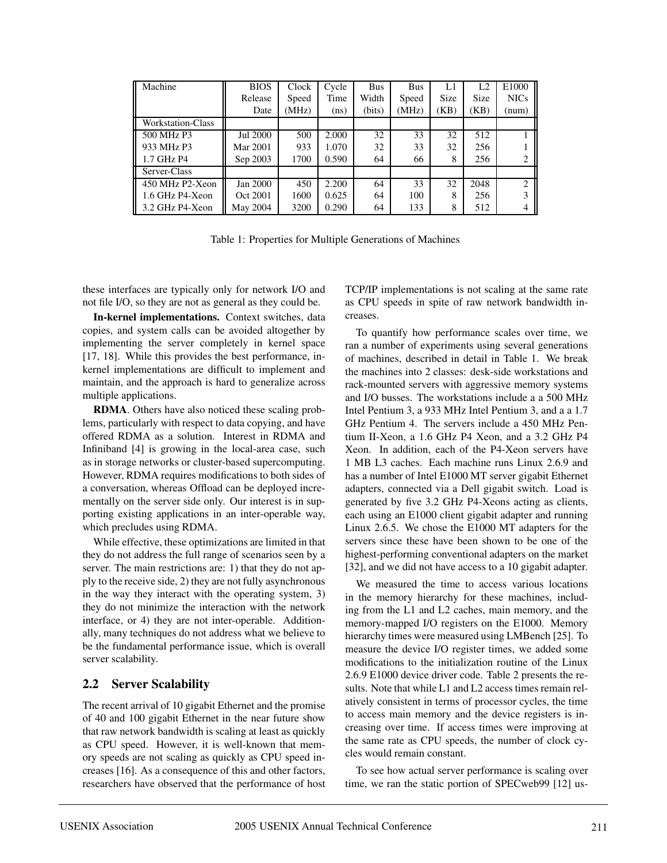| Machine                  | <b>BIOS</b> | Clock | Cycle | <b>Bus</b> | <b>Bus</b> | L1          | L <sub>2</sub> | E1000          |
|--------------------------|-------------|-------|-------|------------|------------|-------------|----------------|----------------|
|                          | Release     | Speed | Time  | Width      | Speed      | <b>Size</b> | <b>Size</b>    | <b>NICs</b>    |
|                          | Date        | (MHz) | (ns)  | (bits)     | (MHz)      | (KB)        | (KB)           | (num)          |
| <b>Workstation-Class</b> |             |       |       |            |            |             |                |                |
| 500 MHz P3               | Jul 2000    | 500   | 2.000 | 32         | 33         | 32          | 512            |                |
| 933 MHz P3               | Mar 2001    | 933   | 1.070 | 32         | 33         | 32          | 256            |                |
| 1.7 GHz P4               | Sep 2003    | 1700  | 0.590 | 64         | 66         | 8           | 256            | 2              |
| Server-Class             |             |       |       |            |            |             |                |                |
| 450 MHz P2-Xeon          | Jan 2000    | 450   | 2.200 | 64         | 33         | 32          | 2048           | $\mathcal{L}$  |
| 1.6 GHz P4-Xeon          | Oct 2001    | 1600  | 0.625 | 64         | 100        | 8           | 256            | 3              |
| 3.2 GHz P4-Xeon          | May 2004    | 3200  | 0.290 | 64         | 133        | 8           | 512            | $\overline{4}$ |

Table 1: Properties for Multiple Generations of Machines

these interfaces are typically only for network I/O and not file I/O, so they are not as general as they could be.

**In-kernel implementations.** Context switches, data copies, and system calls can be avoided altogether by implementing the server completely in kernel space [17, 18]. While this provides the best performance, inkernel implementations are difficult to implement and maintain, and the approach is hard to generalize across multiple applications.

**RDMA**. Others have also noticed these scaling problems, particularly with respect to data copying, and have offered RDMA as a solution. Interest in RDMA and Infiniband [4] is growing in the local-area case, such as in storage networks or cluster-based supercomputing. However, RDMA requires modifications to both sides of a conversation, whereas Offload can be deployed incrementally on the server side only. Our interest is in supporting existing applications in an inter-operable way, which precludes using RDMA.

While effective, these optimizations are limited in that they do not address the full range of scenarios seen by a server. The main restrictions are: 1) that they do not apply to the receive side, 2) they are not fully asynchronous in the way they interact with the operating system, 3) they do not minimize the interaction with the network interface, or 4) they are not inter-operable. Additionally, many techniques do not address what we believe to be the fundamental performance issue, which is overall server scalability.

## **2.2 Server Scalability**

The recent arrival of 10 gigabit Ethernet and the promise of 40 and 100 gigabit Ethernet in the near future show that raw network bandwidth is scaling at least as quickly as CPU speed. However, it is well-known that memory speeds are not scaling as quickly as CPU speed increases [16]. As a consequence of this and other factors, researchers have observed that the performance of host TCP/IP implementations is not scaling at the same rate as CPU speeds in spite of raw network bandwidth increases.

To quantify how performance scales over time, we ran a number of experiments using several generations of machines, described in detail in Table 1. We break the machines into 2 classes: desk-side workstations and rack-mounted servers with aggressive memory systems and I/O busses. The workstations include a a 500 MHz Intel Pentium 3, a 933 MHz Intel Pentium 3, and a a 1.7 GHz Pentium 4. The servers include a 450 MHz Pentium II-Xeon, a 1.6 GHz P4 Xeon, and a 3.2 GHz P4 Xeon. In addition, each of the P4-Xeon servers have 1 MB L3 caches. Each machine runs Linux 2.6.9 and has a number of Intel E1000 MT server gigabit Ethernet adapters, connected via a Dell gigabit switch. Load is generated by five 3.2 GHz P4-Xeons acting as clients, each using an E1000 client gigabit adapter and running Linux 2.6.5. We chose the E1000 MT adapters for the servers since these have been shown to be one of the highest-performing conventional adapters on the market [32], and we did not have access to a 10 gigabit adapter.

We measured the time to access various locations in the memory hierarchy for these machines, including from the L1 and L2 caches, main memory, and the memory-mapped I/O registers on the E1000. Memory hierarchy times were measured using LMBench [25]. To measure the device I/O register times, we added some modifications to the initialization routine of the Linux 2.6.9 E1000 device driver code. Table 2 presents the results. Note that while L1 and L2 access times remain relatively consistent in terms of processor cycles, the time to access main memory and the device registers is increasing over time. If access times were improving at the same rate as CPU speeds, the number of clock cycles would remain constant.

To see how actual server performance is scaling over time, we ran the static portion of SPECweb99 [12] us-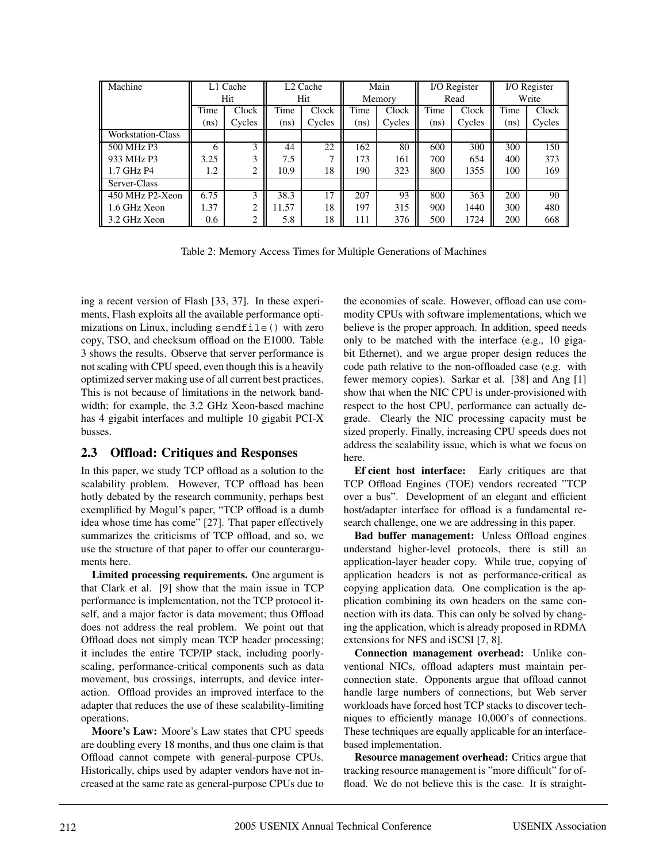| Machine                  | L1 Cache |        | L <sub>2</sub> Cache |        | Main   |        | I/O Register |        | I/O Register |        |
|--------------------------|----------|--------|----------------------|--------|--------|--------|--------------|--------|--------------|--------|
|                          |          | Hit    | Hit                  |        | Memory |        | Read         |        | Write        |        |
|                          | Time     | Clock  | Time                 | Clock  | Time   | Clock  | Time         | Clock  | Time         | Clock  |
|                          | (ns)     | Cycles | (ns)                 | Cycles | (ns)   | Cycles | (ns)         | Cycles | (ns)         | Cycles |
| <b>Workstation-Class</b> |          |        |                      |        |        |        |              |        |              |        |
| 500 MHz P3               | 6        | 3      | 44                   | 22     | 162    | 80     | 600          | 300    | 300          | 150    |
| 933 MHz P3               | 3.25     | 3      | 7.5                  |        | 173    | 161    | 700          | 654    | 400          | 373    |
| 1.7 GHz P4               | 1.2      | 2      | 10.9                 | 18     | 190    | 323    | 800          | 1355   | 100          | 169    |
| Server-Class             |          |        |                      |        |        |        |              |        |              |        |
| 450 MHz P2-Xeon          | 6.75     | 3      | 38.3                 | 17     | 207    | 93     | 800          | 363    | 200          | 90     |
| 1.6 GHz Xeon             | 1.37     | ↑      | 11.57                | 18     | 197    | 315    | 900          | 1440   | 300          | 480    |
| 3.2 GHz Xeon             | 0.6      | 2      | 5.8                  | 18     | 111    | 376    | 500          | 1724   | 200          | 668    |

Table 2: Memory Access Times for Multiple Generations of Machines

ing a recent version of Flash [33, 37]. In these experiments, Flash exploits all the available performance optimizations on Linux, including sendfile() with zero copy, TSO, and checksum offload on the E1000. Table 3 shows the results. Observe that server performance is not scaling with CPU speed, even though this is a heavily optimized server making use of all current best practices. This is not because of limitations in the network bandwidth; for example, the 3.2 GHz Xeon-based machine has 4 gigabit interfaces and multiple 10 gigabit PCI-X busses.

### **2.3 Offload: Critiques and Responses**

In this paper, we study TCP offload as a solution to the scalability problem. However, TCP offload has been hotly debated by the research community, perhaps best exemplified by Mogul's paper, "TCP offload is a dumb idea whose time has come" [27]. That paper effectively summarizes the criticisms of TCP offload, and so, we use the structure of that paper to offer our counterarguments here.

**Limited processing requirements.** One argument is that Clark et al. [9] show that the main issue in TCP performance is implementation, not the TCP protocol itself, and a major factor is data movement; thus Offload does not address the real problem. We point out that Offload does not simply mean TCP header processing; it includes the entire TCP/IP stack, including poorlyscaling, performance-critical components such as data movement, bus crossings, interrupts, and device interaction. Offload provides an improved interface to the adapter that reduces the use of these scalability-limiting operations.

**Moore's Law:** Moore's Law states that CPU speeds are doubling every 18 months, and thus one claim is that Offload cannot compete with general-purpose CPUs. Historically, chips used by adapter vendors have not increased at the same rate as general-purpose CPUs due to

the economies of scale. However, offload can use commodity CPUs with software implementations, which we believe is the proper approach. In addition, speed needs only to be matched with the interface (e.g., 10 gigabit Ethernet), and we argue proper design reduces the code path relative to the non-offloaded case (e.g. with fewer memory copies). Sarkar et al. [38] and Ang [1] show that when the NIC CPU is under-provisioned with respect to the host CPU, performance can actually degrade. Clearly the NIC processing capacity must be sized properly. Finally, increasing CPU speeds does not address the scalability issue, which is what we focus on here.

**Ef cient host interface:** Early critiques are that TCP Offload Engines (TOE) vendors recreated "TCP over a bus". Development of an elegant and efficient host/adapter interface for offload is a fundamental research challenge, one we are addressing in this paper.

**Bad buffer management:** Unless Offload engines understand higher-level protocols, there is still an application-layer header copy. While true, copying of application headers is not as performance-critical as copying application data. One complication is the application combining its own headers on the same connection with its data. This can only be solved by changing the application, which is already proposed in RDMA extensions for NFS and iSCSI [7, 8].

**Connection management overhead:** Unlike conventional NICs, offload adapters must maintain perconnection state. Opponents argue that offload cannot handle large numbers of connections, but Web server workloads have forced host TCP stacks to discover techniques to efficiently manage 10,000's of connections. These techniques are equally applicable for an interfacebased implementation.

**Resource management overhead:** Critics argue that tracking resource management is "more difficult" for offload. We do not believe this is the case. It is straight-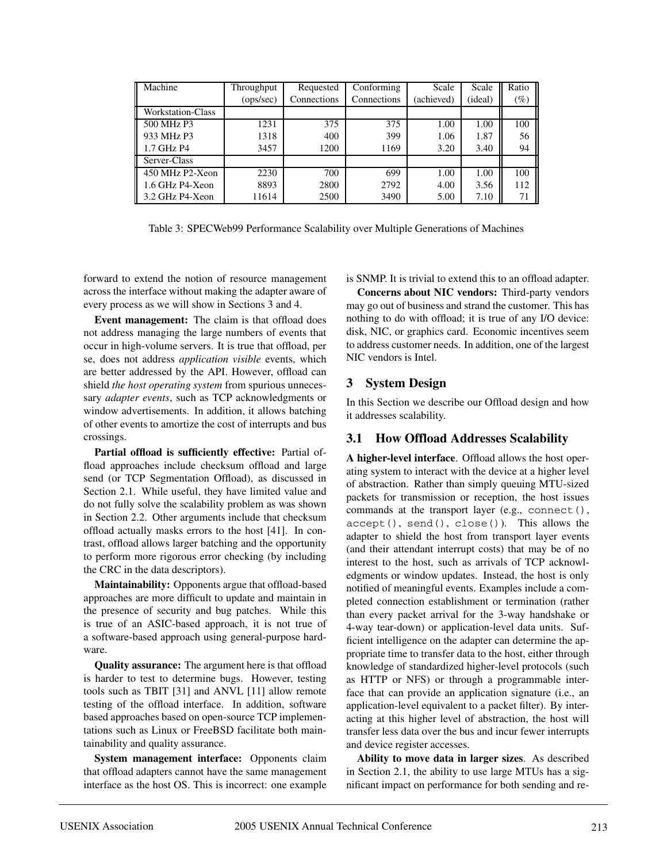| Machine           | Throughput | Requested   | Conforming  | Scale      | Scale   | Ratio               |
|-------------------|------------|-------------|-------------|------------|---------|---------------------|
|                   | (ops/sec)  | Connections | Connections | (achieved) | (ideal) | $\left( \% \right)$ |
| Workstation-Class |            |             |             |            |         |                     |
| 500 MHz P3        | 1231       | 375         | 375         | 1.00       | 1.00    | 100                 |
| 933 MHz P3        | 1318       | 400         | 399         | 1.06       | 1.87    | 56                  |
| 1.7 GHz P4        | 3457       | 1200        | 1169        | 3.20       | 3.40    | 94                  |
| Server-Class      |            |             |             |            |         |                     |
| 450 MHz P2-Xeon   | 2230       | 700         | 699         | 1.00       | 1.00    | 100                 |
| 1.6 GHz P4-Xeon   | 8893       | 2800        | 2792        | 4.00       | 3.56    | 112                 |
| 3.2 GHz P4-Xeon   | 11614      | 2500        | 3490        | 5.00       | 7.10    | 71                  |

Table 3: SPECWeb99 Performance Scalability over Multiple Generations of Machines

forward to extend the notion of resource management across the interface without making the adapter aware of every process as we will show in Sections 3 and 4.

**Event management:** The claim is that offload does not address managing the large numbers of events that occur in high-volume servers. It is true that offload, per se, does not address *application visible* events, which are better addressed by the API. However, offload can shield *the host operating system* from spurious unnecessary *adapter events*, such as TCP acknowledgments or window advertisements. In addition, it allows batching of other events to amortize the cost of interrupts and bus crossings.

**Partial offload is sufficiently effective:** Partial offload approaches include checksum offload and large send (or TCP Segmentation Offload), as discussed in Section 2.1. While useful, they have limited value and do not fully solve the scalability problem as was shown in Section 2.2. Other arguments include that checksum offload actually masks errors to the host [41]. In contrast, offload allows larger batching and the opportunity to perform more rigorous error checking (by including the CRC in the data descriptors).

**Maintainability:** Opponents argue that offload-based approaches are more difficult to update and maintain in the presence of security and bug patches. While this is true of an ASIC-based approach, it is not true of a software-based approach using general-purpose hardware.

**Quality assurance:** The argument here is that offload is harder to test to determine bugs. However, testing tools such as TBIT [31] and ANVL [11] allow remote testing of the offload interface. In addition, software based approaches based on open-source TCP implementations such as Linux or FreeBSD facilitate both maintainability and quality assurance.

**System management interface:** Opponents claim that offload adapters cannot have the same management interface as the host OS. This is incorrect: one example is SNMP. It is trivial to extend this to an offload adapter.

**Concerns about NIC vendors:** Third-party vendors may go out of business and strand the customer. This has nothing to do with offload; it is true of any I/O device: disk, NIC, or graphics card. Economic incentives seem to address customer needs. In addition, one of the largest NIC vendors is Intel.

# **3 System Design**

In this Section we describe our Offload design and how it addresses scalability.

## **3.1 How Offload Addresses Scalability**

**A higher-level interface**. Offload allows the host operating system to interact with the device at a higher level of abstraction. Rather than simply queuing MTU-sized packets for transmission or reception, the host issues commands at the transport layer (e.g., connect(), accept(), send(), close()). This allows the adapter to shield the host from transport layer events (and their attendant interrupt costs) that may be of no interest to the host, such as arrivals of TCP acknowledgments or window updates. Instead, the host is only notified of meaningful events. Examples include a completed connection establishment or termination (rather than every packet arrival for the 3-way handshake or 4-way tear-down) or application-level data units. Sufficient intelligence on the adapter can determine the appropriate time to transfer data to the host, either through knowledge of standardized higher-level protocols (such as HTTP or NFS) or through a programmable interface that can provide an application signature (i.e., an application-level equivalent to a packet filter). By interacting at this higher level of abstraction, the host will transfer less data over the bus and incur fewer interrupts and device register accesses.

**Ability to move data in larger sizes**. As described in Section 2.1, the ability to use large MTUs has a significant impact on performance for both sending and re-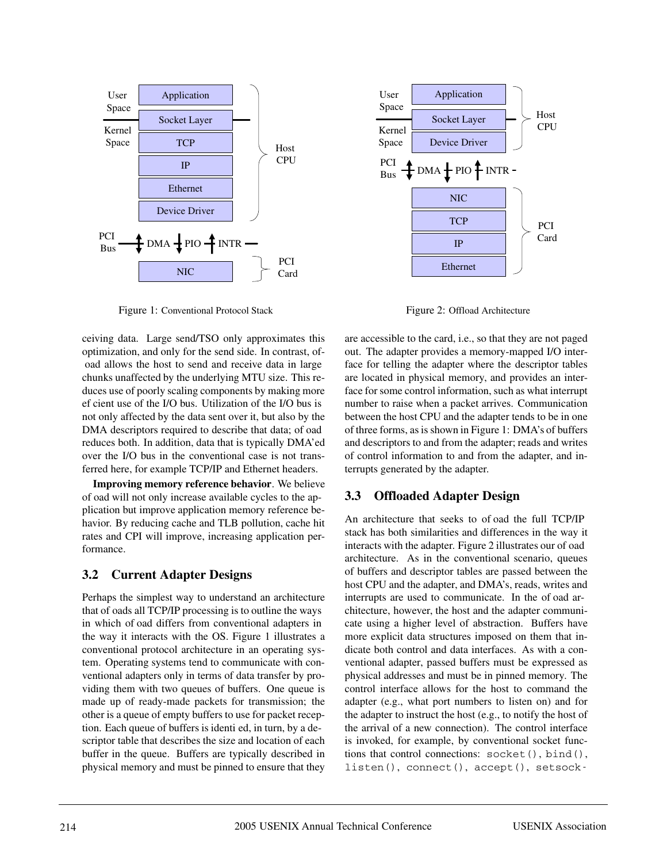

Figure 1: Conventional Protocol Stack

ceiving data. Large send/TSO only approximates this optimization, and only for the send side. In contrast, of oad allows the host to send and receive data in large chunks unaffected by the underlying MTU size. This reduces use of poorly scaling components by making more ef cient use of the I/O bus. Utilization of the I/O bus is not only affected by the data sent over it, but also by the DMA descriptors required to describe that data; of oad reduces both. In addition, data that is typically DMA'ed over the I/O bus in the conventional case is not transferred here, for example TCP/IP and Ethernet headers.

**Improving memory reference behavior**. We believe of oad will not only increase available cycles to the application but improve application memory reference behavior. By reducing cache and TLB pollution, cache hit rates and CPI will improve, increasing application performance.

## **3.2 Current Adapter Designs**

Perhaps the simplest way to understand an architecture that of oads all TCP/IP processing is to outline the ways in which of oad differs from conventional adapters in the way it interacts with the OS. Figure 1 illustrates a conventional protocol architecture in an operating system. Operating systems tend to communicate with conventional adapters only in terms of data transfer by providing them with two queues of buffers. One queue is made up of ready-made packets for transmission; the other is a queue of empty buffers to use for packet reception. Each queue of buffers is identi ed, in turn, by a descriptor table that describes the size and location of each buffer in the queue. Buffers are typically described in physical memory and must be pinned to ensure that they



Figure 2: Offload Architecture

are accessible to the card, i.e., so that they are not paged out. The adapter provides a memory-mapped I/O interface for telling the adapter where the descriptor tables are located in physical memory, and provides an interface for some control information, such as what interrupt number to raise when a packet arrives. Communication between the host CPU and the adapter tends to be in one of three forms, as is shown in Figure 1: DMA's of buffers and descriptors to and from the adapter; reads and writes of control information to and from the adapter, and interrupts generated by the adapter.

### **3.3 Offloaded Adapter Design**

An architecture that seeks to of oad the full TCP/IP stack has both similarities and differences in the way it interacts with the adapter. Figure 2 illustrates our of oad architecture. As in the conventional scenario, queues of buffers and descriptor tables are passed between the host CPU and the adapter, and DMA's, reads, writes and interrupts are used to communicate. In the of oad architecture, however, the host and the adapter communicate using a higher level of abstraction. Buffers have more explicit data structures imposed on them that indicate both control and data interfaces. As with a conventional adapter, passed buffers must be expressed as physical addresses and must be in pinned memory. The control interface allows for the host to command the adapter (e.g., what port numbers to listen on) and for the adapter to instruct the host (e.g., to notify the host of the arrival of a new connection). The control interface is invoked, for example, by conventional socket functions that control connections: socket(), bind(), listen(), connect(), accept(), setsock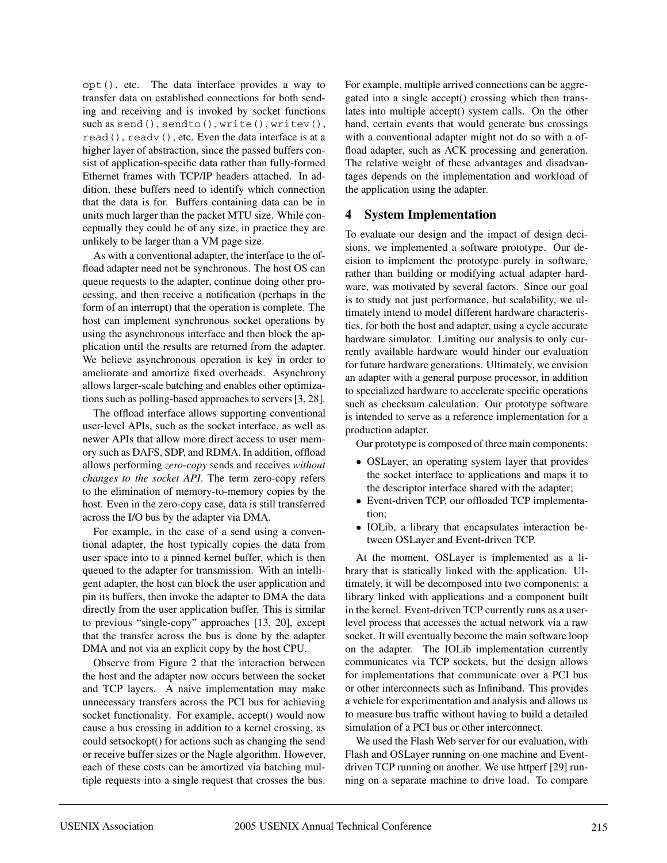opt(), etc. The data interface provides a way to transfer data on established connections for both sending and receiving and is invoked by socket functions such as send(), sendto(), write(), writev(), read(), readv(), etc. Even the data interface is at a higher layer of abstraction, since the passed buffers consist of application-specific data rather than fully-formed Ethernet frames with TCP/IP headers attached. In addition, these buffers need to identify which connection that the data is for. Buffers containing data can be in units much larger than the packet MTU size. While conceptually they could be of any size, in practice they are unlikely to be larger than a VM page size.

As with a conventional adapter, the interface to the offload adapter need not be synchronous. The host OS can queue requests to the adapter, continue doing other processing, and then receive a notification (perhaps in the form of an interrupt) that the operation is complete. The host can implement synchronous socket operations by using the asynchronous interface and then block the application until the results are returned from the adapter. We believe asynchronous operation is key in order to ameliorate and amortize fixed overheads. Asynchrony allows larger-scale batching and enables other optimizations such as polling-based approaches to servers [3, 28].

The offload interface allows supporting conventional user-level APIs, such as the socket interface, as well as newer APIs that allow more direct access to user memory such as DAFS, SDP, and RDMA. In addition, offload allows performing *zero-copy* sends and receives *without changes to the socket API*. The term zero-copy refers to the elimination of memory-to-memory copies by the host. Even in the zero-copy case, data is still transferred across the I/O bus by the adapter via DMA.

For example, in the case of a send using a conventional adapter, the host typically copies the data from user space into to a pinned kernel buffer, which is then queued to the adapter for transmission. With an intelligent adapter, the host can block the user application and pin its buffers, then invoke the adapter to DMA the data directly from the user application buffer. This is similar to previous "single-copy" approaches [13, 20], except that the transfer across the bus is done by the adapter DMA and not via an explicit copy by the host CPU.

Observe from Figure 2 that the interaction between the host and the adapter now occurs between the socket and TCP layers. A naive implementation may make unnecessary transfers across the PCI bus for achieving socket functionality. For example, accept() would now cause a bus crossing in addition to a kernel crossing, as could setsockopt() for actions such as changing the send or receive buffer sizes or the Nagle algorithm. However, each of these costs can be amortized via batching multiple requests into a single request that crosses the bus. For example, multiple arrived connections can be aggregated into a single accept() crossing which then translates into multiple accept() system calls. On the other hand, certain events that would generate bus crossings with a conventional adapter might not do so with a offload adapter, such as ACK processing and generation. The relative weight of these advantages and disadvantages depends on the implementation and workload of the application using the adapter.

### **4 System Implementation**

To evaluate our design and the impact of design decisions, we implemented a software prototype. Our decision to implement the prototype purely in software, rather than building or modifying actual adapter hardware, was motivated by several factors. Since our goal is to study not just performance, but scalability, we ultimately intend to model different hardware characteristics, for both the host and adapter, using a cycle accurate hardware simulator. Limiting our analysis to only currently available hardware would hinder our evaluation for future hardware generations. Ultimately, we envision an adapter with a general purpose processor, in addition to specialized hardware to accelerate specific operations such as checksum calculation. Our prototype software is intended to serve as a reference implementation for a production adapter.

Our prototype is composed of three main components:

- OSLayer, an operating system layer that provides the socket interface to applications and maps it to the descriptor interface shared with the adapter;
- Event-driven TCP, our offloaded TCP implementation;
- IOLib, a library that encapsulates interaction between OSLayer and Event-driven TCP.

At the moment, OSLayer is implemented as a library that is statically linked with the application. Ultimately, it will be decomposed into two components: a library linked with applications and a component built in the kernel. Event-driven TCP currently runs as a userlevel process that accesses the actual network via a raw socket. It will eventually become the main software loop on the adapter. The IOLib implementation currently communicates via TCP sockets, but the design allows for implementations that communicate over a PCI bus or other interconnects such as Infiniband. This provides a vehicle for experimentation and analysis and allows us to measure bus traffic without having to build a detailed simulation of a PCI bus or other interconnect.

We used the Flash Web server for our evaluation, with Flash and OSLayer running on one machine and Eventdriven TCP running on another. We use httperf [29] running on a separate machine to drive load. To compare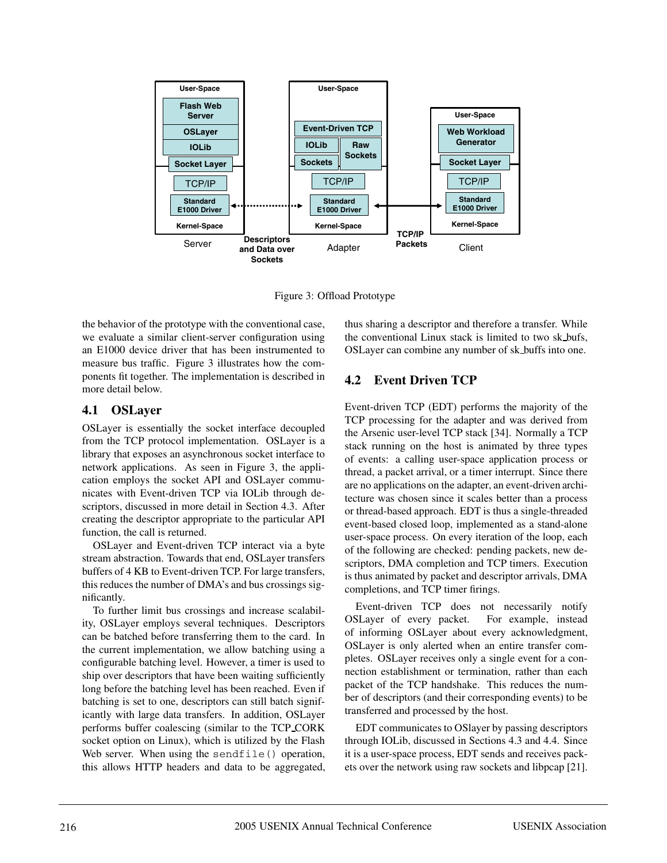

Figure 3: Offload Prototype

the behavior of the prototype with the conventional case, we evaluate a similar client-server configuration using an E1000 device driver that has been instrumented to measure bus traffic. Figure 3 illustrates how the components fit together. The implementation is described in more detail below.

## **4.1 OSLayer**

OSLayer is essentially the socket interface decoupled from the TCP protocol implementation. OSLayer is a library that exposes an asynchronous socket interface to network applications. As seen in Figure 3, the application employs the socket API and OSLayer communicates with Event-driven TCP via IOLib through descriptors, discussed in more detail in Section 4.3. After creating the descriptor appropriate to the particular API function, the call is returned.

OSLayer and Event-driven TCP interact via a byte stream abstraction. Towards that end, OSLayer transfers buffers of 4 KB to Event-driven TCP. For large transfers, this reduces the number of DMA's and bus crossings significantly.

To further limit bus crossings and increase scalability, OSLayer employs several techniques. Descriptors can be batched before transferring them to the card. In the current implementation, we allow batching using a configurable batching level. However, a timer is used to ship over descriptors that have been waiting sufficiently long before the batching level has been reached. Even if batching is set to one, descriptors can still batch significantly with large data transfers. In addition, OSLayer performs buffer coalescing (similar to the TCP CORK socket option on Linux), which is utilized by the Flash Web server. When using the sendfile() operation, this allows HTTP headers and data to be aggregated,

thus sharing a descriptor and therefore a transfer. While the conventional Linux stack is limited to two sk bufs, OSLayer can combine any number of sk buffs into one.

# **4.2 Event Driven TCP**

Event-driven TCP (EDT) performs the majority of the TCP processing for the adapter and was derived from the Arsenic user-level TCP stack [34]. Normally a TCP stack running on the host is animated by three types of events: a calling user-space application process or thread, a packet arrival, or a timer interrupt. Since there are no applications on the adapter, an event-driven architecture was chosen since it scales better than a process or thread-based approach. EDT is thus a single-threaded event-based closed loop, implemented as a stand-alone user-space process. On every iteration of the loop, each of the following are checked: pending packets, new descriptors, DMA completion and TCP timers. Execution is thus animated by packet and descriptor arrivals, DMA completions, and TCP timer firings.

Event-driven TCP does not necessarily notify OSLayer of every packet. For example, instead of informing OSLayer about every acknowledgment, OSLayer is only alerted when an entire transfer completes. OSLayer receives only a single event for a connection establishment or termination, rather than each packet of the TCP handshake. This reduces the number of descriptors (and their corresponding events) to be transferred and processed by the host.

EDT communicates to OSlayer by passing descriptors through IOLib, discussed in Sections 4.3 and 4.4. Since it is a user-space process, EDT sends and receives packets over the network using raw sockets and libpcap [21].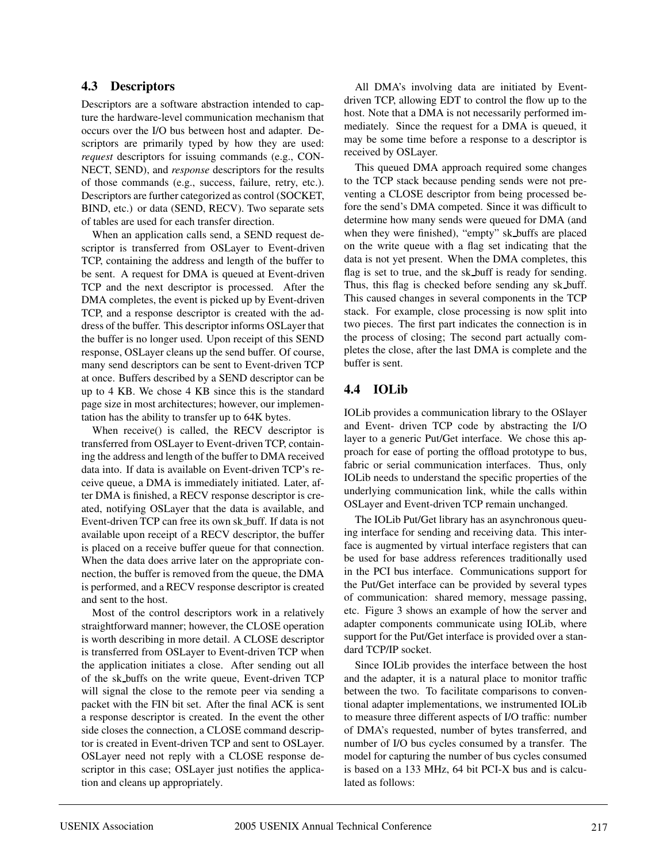### **4.3 Descriptors**

Descriptors are a software abstraction intended to capture the hardware-level communication mechanism that occurs over the I/O bus between host and adapter. Descriptors are primarily typed by how they are used: *request* descriptors for issuing commands (e.g., CON-NECT, SEND), and *response* descriptors for the results of those commands (e.g., success, failure, retry, etc.). Descriptors are further categorized as control (SOCKET, BIND, etc.) or data (SEND, RECV). Two separate sets of tables are used for each transfer direction.

When an application calls send, a SEND request descriptor is transferred from OSLayer to Event-driven TCP, containing the address and length of the buffer to be sent. A request for DMA is queued at Event-driven TCP and the next descriptor is processed. After the DMA completes, the event is picked up by Event-driven TCP, and a response descriptor is created with the address of the buffer. This descriptor informs OSLayer that the buffer is no longer used. Upon receipt of this SEND response, OSLayer cleans up the send buffer. Of course, many send descriptors can be sent to Event-driven TCP at once. Buffers described by a SEND descriptor can be up to 4 KB. We chose 4 KB since this is the standard page size in most architectures; however, our implementation has the ability to transfer up to 64K bytes.

When receive() is called, the RECV descriptor is transferred from OSLayer to Event-driven TCP, containing the address and length of the buffer to DMA received data into. If data is available on Event-driven TCP's receive queue, a DMA is immediately initiated. Later, after DMA is finished, a RECV response descriptor is created, notifying OSLayer that the data is available, and Event-driven TCP can free its own sk buff. If data is not available upon receipt of a RECV descriptor, the buffer is placed on a receive buffer queue for that connection. When the data does arrive later on the appropriate connection, the buffer is removed from the queue, the DMA is performed, and a RECV response descriptor is created and sent to the host.

Most of the control descriptors work in a relatively straightforward manner; however, the CLOSE operation is worth describing in more detail. A CLOSE descriptor is transferred from OSLayer to Event-driven TCP when the application initiates a close. After sending out all of the sk buffs on the write queue, Event-driven TCP will signal the close to the remote peer via sending a packet with the FIN bit set. After the final ACK is sent a response descriptor is created. In the event the other side closes the connection, a CLOSE command descriptor is created in Event-driven TCP and sent to OSLayer. OSLayer need not reply with a CLOSE response descriptor in this case; OSLayer just notifies the application and cleans up appropriately.

All DMA's involving data are initiated by Eventdriven TCP, allowing EDT to control the flow up to the host. Note that a DMA is not necessarily performed immediately. Since the request for a DMA is queued, it may be some time before a response to a descriptor is received by OSLayer.

This queued DMA approach required some changes to the TCP stack because pending sends were not preventing a CLOSE descriptor from being processed before the send's DMA competed. Since it was difficult to determine how many sends were queued for DMA (and when they were finished), "empty" sk buffs are placed on the write queue with a flag set indicating that the data is not yet present. When the DMA completes, this flag is set to true, and the sk buff is ready for sending. Thus, this flag is checked before sending any sk buff. This caused changes in several components in the TCP stack. For example, close processing is now split into two pieces. The first part indicates the connection is in the process of closing; The second part actually completes the close, after the last DMA is complete and the buffer is sent.

# **4.4 IOLib**

IOLib provides a communication library to the OSlayer and Event- driven TCP code by abstracting the I/O layer to a generic Put/Get interface. We chose this approach for ease of porting the offload prototype to bus, fabric or serial communication interfaces. Thus, only IOLib needs to understand the specific properties of the underlying communication link, while the calls within OSLayer and Event-driven TCP remain unchanged.

The IOLib Put/Get library has an asynchronous queuing interface for sending and receiving data. This interface is augmented by virtual interface registers that can be used for base address references traditionally used in the PCI bus interface. Communications support for the Put/Get interface can be provided by several types of communication: shared memory, message passing, etc. Figure 3 shows an example of how the server and adapter components communicate using IOLib, where support for the Put/Get interface is provided over a standard TCP/IP socket.

Since IOLib provides the interface between the host and the adapter, it is a natural place to monitor traffic between the two. To facilitate comparisons to conventional adapter implementations, we instrumented IOLib to measure three different aspects of I/O traffic: number of DMA's requested, number of bytes transferred, and number of I/O bus cycles consumed by a transfer. The model for capturing the number of bus cycles consumed is based on a 133 MHz, 64 bit PCI-X bus and is calculated as follows: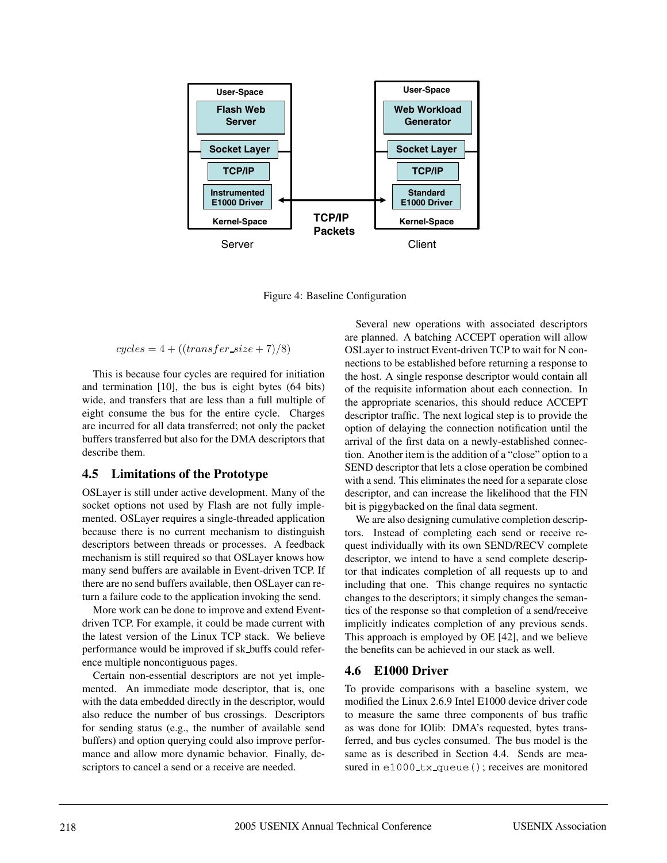

Figure 4: Baseline Configuration

$$
cycles = 4 + ((transfer\_size + 7)/8)
$$

This is because four cycles are required for initiation and termination [10], the bus is eight bytes (64 bits) wide, and transfers that are less than a full multiple of eight consume the bus for the entire cycle. Charges are incurred for all data transferred; not only the packet buffers transferred but also for the DMA descriptors that describe them.

### **4.5 Limitations of the Prototype**

OSLayer is still under active development. Many of the socket options not used by Flash are not fully implemented. OSLayer requires a single-threaded application because there is no current mechanism to distinguish descriptors between threads or processes. A feedback mechanism is still required so that OSLayer knows how many send buffers are available in Event-driven TCP. If there are no send buffers available, then OSLayer can return a failure code to the application invoking the send.

More work can be done to improve and extend Eventdriven TCP. For example, it could be made current with the latest version of the Linux TCP stack. We believe performance would be improved if sk buffs could reference multiple noncontiguous pages.

Certain non-essential descriptors are not yet implemented. An immediate mode descriptor, that is, one with the data embedded directly in the descriptor, would also reduce the number of bus crossings. Descriptors for sending status (e.g., the number of available send buffers) and option querying could also improve performance and allow more dynamic behavior. Finally, descriptors to cancel a send or a receive are needed.

Several new operations with associated descriptors are planned. A batching ACCEPT operation will allow OSLayer to instruct Event-driven TCP to wait for N connections to be established before returning a response to the host. A single response descriptor would contain all of the requisite information about each connection. In the appropriate scenarios, this should reduce ACCEPT descriptor traffic. The next logical step is to provide the option of delaying the connection notification until the arrival of the first data on a newly-established connection. Another item is the addition of a "close" option to a SEND descriptor that lets a close operation be combined with a send. This eliminates the need for a separate close descriptor, and can increase the likelihood that the FIN bit is piggybacked on the final data segment.

We are also designing cumulative completion descriptors. Instead of completing each send or receive request individually with its own SEND/RECV complete descriptor, we intend to have a send complete descriptor that indicates completion of all requests up to and including that one. This change requires no syntactic changes to the descriptors; it simply changes the semantics of the response so that completion of a send/receive implicitly indicates completion of any previous sends. This approach is employed by OE [42], and we believe the benefits can be achieved in our stack as well.

## **4.6 E1000 Driver**

To provide comparisons with a baseline system, we modified the Linux 2.6.9 Intel E1000 device driver code to measure the same three components of bus traffic as was done for IOlib: DMA's requested, bytes transferred, and bus cycles consumed. The bus model is the same as is described in Section 4.4. Sends are measured in e1000 tx queue(); receives are monitored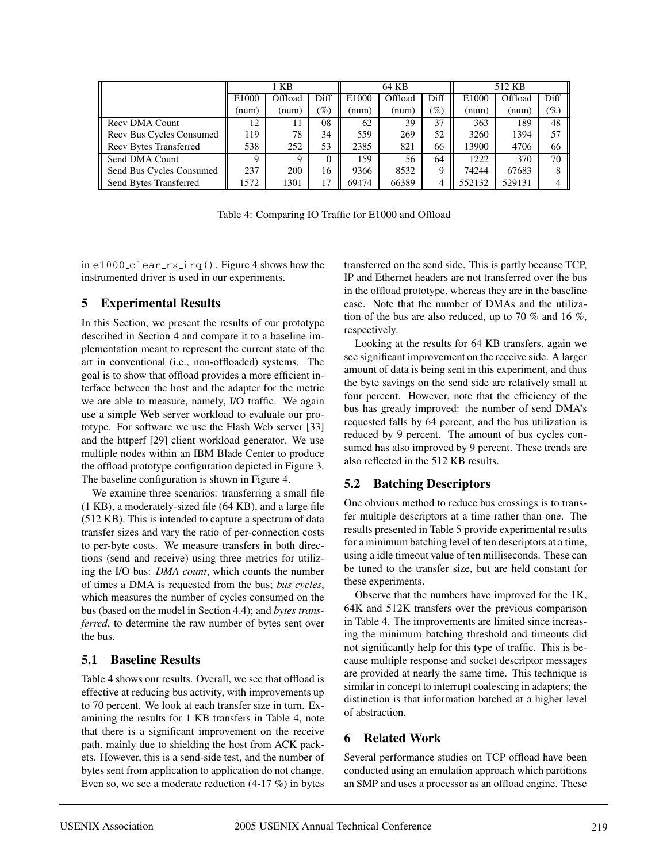|                          | 1 KB              |         |                 |       | 64 KB   |                 | 512 KB |         |        |
|--------------------------|-------------------|---------|-----------------|-------|---------|-----------------|--------|---------|--------|
|                          | E <sub>1000</sub> | Offload | Diff            | E1000 | Offload | Diff            | E1000  | Offload | Diff   |
|                          | (num)             | (num)   | $\mathscr{G}_o$ | (num) | (num)   | $\mathscr{G}_o$ | (num)  | (num)   | $(\%)$ |
| Recy DMA Count           | 12                | 11      | 08              | 62    | 39      | 37              | 363    | 189     | 48     |
| Recv Bus Cycles Consumed | 119               | 78      | 34              | 559   | 269     | 52              | 3260   | 1394    | 57     |
| Recv Bytes Transferred   | 538               | 252     | 53              | 2385  | 821     | 66              | 13900  | 4706    | 66     |
| Send DMA Count           | Q                 | Q       | $\theta$        | 159   | 56      | 64              | 1222   | 370     | 70     |
| Send Bus Cycles Consumed | 237               | 200     | 16              | 9366  | 8532    | Q               | 74244  | 67683   | 8      |
| Send Bytes Transferred   | 1572              | 1301    | 17              | 69474 | 66389   | 4               | 552132 | 529131  |        |

Table 4: Comparing IO Traffic for E1000 and Offload

in e1000 clean rx irq(). Figure 4 shows how the instrumented driver is used in our experiments.

## **5 Experimental Results**

In this Section, we present the results of our prototype described in Section 4 and compare it to a baseline implementation meant to represent the current state of the art in conventional (i.e., non-offloaded) systems. The goal is to show that offload provides a more efficient interface between the host and the adapter for the metric we are able to measure, namely, I/O traffic. We again use a simple Web server workload to evaluate our prototype. For software we use the Flash Web server [33] and the httperf [29] client workload generator. We use multiple nodes within an IBM Blade Center to produce the offload prototype configuration depicted in Figure 3. The baseline configuration is shown in Figure 4.

We examine three scenarios: transferring a small file (1 KB), a moderately-sized file (64 KB), and a large file (512 KB). This is intended to capture a spectrum of data transfer sizes and vary the ratio of per-connection costs to per-byte costs. We measure transfers in both directions (send and receive) using three metrics for utilizing the I/O bus: *DMA count*, which counts the number of times a DMA is requested from the bus; *bus cycles*, which measures the number of cycles consumed on the bus (based on the model in Section 4.4); and *bytes transferred*, to determine the raw number of bytes sent over the bus.

## **5.1 Baseline Results**

Table 4 shows our results. Overall, we see that offload is effective at reducing bus activity, with improvements up to 70 percent. We look at each transfer size in turn. Examining the results for 1 KB transfers in Table 4, note that there is a significant improvement on the receive path, mainly due to shielding the host from ACK packets. However, this is a send-side test, and the number of bytes sent from application to application do not change. Even so, we see a moderate reduction (4-17 %) in bytes

transferred on the send side. This is partly because TCP, IP and Ethernet headers are not transferred over the bus in the offload prototype, whereas they are in the baseline case. Note that the number of DMAs and the utilization of the bus are also reduced, up to 70 % and 16 %, respectively.

Looking at the results for 64 KB transfers, again we see significant improvement on the receive side. A larger amount of data is being sent in this experiment, and thus the byte savings on the send side are relatively small at four percent. However, note that the efficiency of the bus has greatly improved: the number of send DMA's requested falls by 64 percent, and the bus utilization is reduced by 9 percent. The amount of bus cycles consumed has also improved by 9 percent. These trends are also reflected in the 512 KB results.

## **5.2 Batching Descriptors**

One obvious method to reduce bus crossings is to transfer multiple descriptors at a time rather than one. The results presented in Table 5 provide experimental results for a minimum batching level of ten descriptors at a time, using a idle timeout value of ten milliseconds. These can be tuned to the transfer size, but are held constant for these experiments.

Observe that the numbers have improved for the 1K, 64K and 512K transfers over the previous comparison in Table 4. The improvements are limited since increasing the minimum batching threshold and timeouts did not significantly help for this type of traffic. This is because multiple response and socket descriptor messages are provided at nearly the same time. This technique is similar in concept to interrupt coalescing in adapters; the distinction is that information batched at a higher level of abstraction.

## **6 Related Work**

Several performance studies on TCP offload have been conducted using an emulation approach which partitions an SMP and uses a processor as an offload engine. These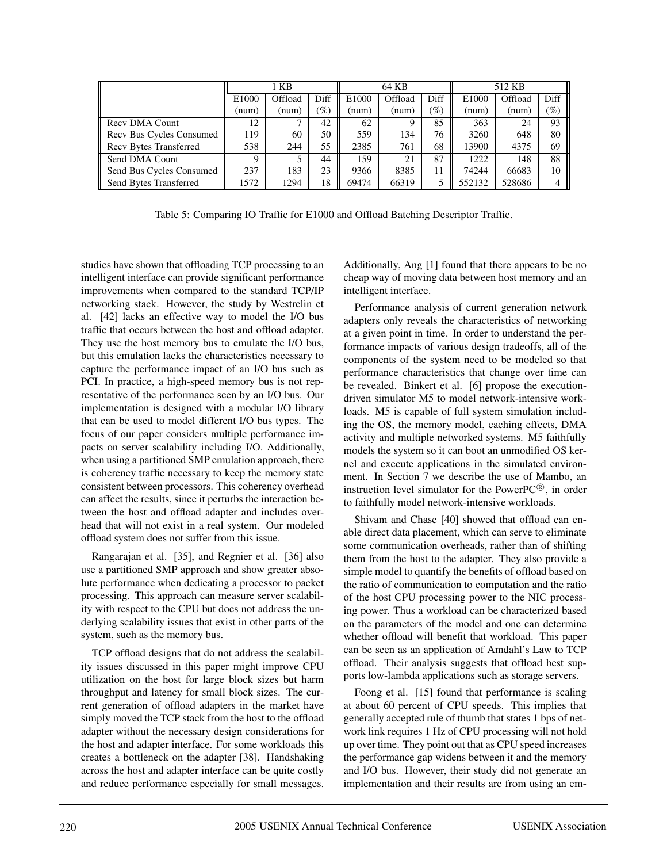|                                 | 1 KB     |         |        |       | 64 KB   |                 | 512 KB |         |        |
|---------------------------------|----------|---------|--------|-------|---------|-----------------|--------|---------|--------|
|                                 | E1000    | Offload | Diff   | E1000 | Offload | Diff            | E1000  | Offload | Diff   |
|                                 | (num)    | (num)   | $(\%)$ | (num) | (num)   | $\mathscr{G}_o$ | (num)  | (num)   | $(\%)$ |
| Recy DMA Count                  | 12       |         | 42     | 62    |         | 85              | 363    | 24      | 93     |
| <b>Recy Bus Cycles Consumed</b> | 119      | 60      | 50     | 559   | 134     | 76              | 3260   | 648     | 80     |
| <b>Recv Bytes Transferred</b>   | 538      | 244     | 55     | 2385  | 761     | 68              | 13900  | 4375    | 69     |
| Send DMA Count                  | $\Omega$ |         | 44     | 159   | 21      | 87              | 1222   | 148     | 88     |
| Send Bus Cycles Consumed        | 237      | 183     | 23     | 9366  | 8385    | 11              | 74244  | 66683   | 10     |
| Send Bytes Transferred          | 1572     | 1294    | 18     | 69474 | 66319   |                 | 552132 | 528686  | 4      |

Table 5: Comparing IO Traffic for E1000 and Offload Batching Descriptor Traffic.

studies have shown that offloading TCP processing to an intelligent interface can provide significant performance improvements when compared to the standard TCP/IP networking stack. However, the study by Westrelin et al. [42] lacks an effective way to model the I/O bus traffic that occurs between the host and offload adapter. They use the host memory bus to emulate the I/O bus, but this emulation lacks the characteristics necessary to capture the performance impact of an I/O bus such as PCI. In practice, a high-speed memory bus is not representative of the performance seen by an I/O bus. Our implementation is designed with a modular I/O library that can be used to model different I/O bus types. The focus of our paper considers multiple performance impacts on server scalability including I/O. Additionally, when using a partitioned SMP emulation approach, there is coherency traffic necessary to keep the memory state consistent between processors. This coherency overhead can affect the results, since it perturbs the interaction between the host and offload adapter and includes overhead that will not exist in a real system. Our modeled offload system does not suffer from this issue.

Rangarajan et al. [35], and Regnier et al. [36] also use a partitioned SMP approach and show greater absolute performance when dedicating a processor to packet processing. This approach can measure server scalability with respect to the CPU but does not address the underlying scalability issues that exist in other parts of the system, such as the memory bus.

TCP offload designs that do not address the scalability issues discussed in this paper might improve CPU utilization on the host for large block sizes but harm throughput and latency for small block sizes. The current generation of offload adapters in the market have simply moved the TCP stack from the host to the offload adapter without the necessary design considerations for the host and adapter interface. For some workloads this creates a bottleneck on the adapter [38]. Handshaking across the host and adapter interface can be quite costly and reduce performance especially for small messages. Additionally, Ang [1] found that there appears to be no cheap way of moving data between host memory and an intelligent interface.

Performance analysis of current generation network adapters only reveals the characteristics of networking at a given point in time. In order to understand the performance impacts of various design tradeoffs, all of the components of the system need to be modeled so that performance characteristics that change over time can be revealed. Binkert et al. [6] propose the executiondriven simulator M5 to model network-intensive workloads. M5 is capable of full system simulation including the OS, the memory model, caching effects, DMA activity and multiple networked systems. M5 faithfully models the system so it can boot an unmodified OS kernel and execute applications in the simulated environment. In Section 7 we describe the use of Mambo, an instruction level simulator for the PowerP $C^{\circledR}$ , in order to faithfully model network-intensive workloads.

Shivam and Chase [40] showed that offload can enable direct data placement, which can serve to eliminate some communication overheads, rather than of shifting them from the host to the adapter. They also provide a simple model to quantify the benefits of offload based on the ratio of communication to computation and the ratio of the host CPU processing power to the NIC processing power. Thus a workload can be characterized based on the parameters of the model and one can determine whether offload will benefit that workload. This paper can be seen as an application of Amdahl's Law to TCP offload. Their analysis suggests that offload best supports low-lambda applications such as storage servers.

Foong et al. [15] found that performance is scaling at about 60 percent of CPU speeds. This implies that generally accepted rule of thumb that states 1 bps of network link requires 1 Hz of CPU processing will not hold up over time. They point out that as CPU speed increases the performance gap widens between it and the memory and I/O bus. However, their study did not generate an implementation and their results are from using an em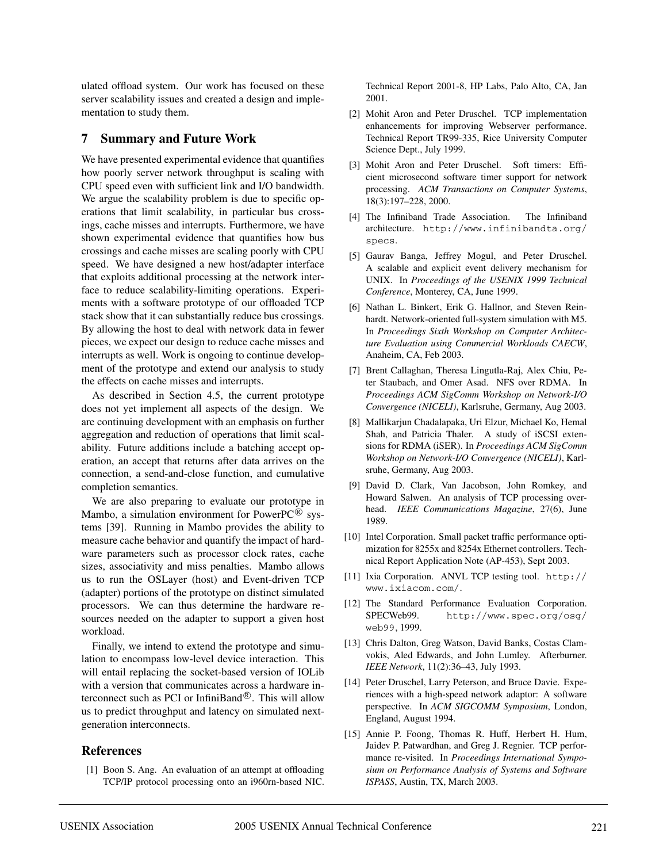ulated offload system. Our work has focused on these server scalability issues and created a design and implementation to study them.

#### **7 Summary and Future Work**

We have presented experimental evidence that quantifies how poorly server network throughput is scaling with CPU speed even with sufficient link and I/O bandwidth. We argue the scalability problem is due to specific operations that limit scalability, in particular bus crossings, cache misses and interrupts. Furthermore, we have shown experimental evidence that quantifies how bus crossings and cache misses are scaling poorly with CPU speed. We have designed a new host/adapter interface that exploits additional processing at the network interface to reduce scalability-limiting operations. Experiments with a software prototype of our offloaded TCP stack show that it can substantially reduce bus crossings. By allowing the host to deal with network data in fewer pieces, we expect our design to reduce cache misses and interrupts as well. Work is ongoing to continue development of the prototype and extend our analysis to study the effects on cache misses and interrupts.

As described in Section 4.5, the current prototype does not yet implement all aspects of the design. We are continuing development with an emphasis on further aggregation and reduction of operations that limit scalability. Future additions include a batching accept operation, an accept that returns after data arrives on the connection, a send-and-close function, and cumulative completion semantics.

We are also preparing to evaluate our prototype in Mambo, a simulation environment for PowerPC $^{\circledR}$  systems [39]. Running in Mambo provides the ability to measure cache behavior and quantify the impact of hardware parameters such as processor clock rates, cache sizes, associativity and miss penalties. Mambo allows us to run the OSLayer (host) and Event-driven TCP (adapter) portions of the prototype on distinct simulated processors. We can thus determine the hardware resources needed on the adapter to support a given host workload.

Finally, we intend to extend the prototype and simulation to encompass low-level device interaction. This will entail replacing the socket-based version of IOLib with a version that communicates across a hardware interconnect such as PCI or InfiniBand $\mathcal{R}$ . This will allow us to predict throughput and latency on simulated nextgeneration interconnects.

#### **References**

[1] Boon S. Ang. An evaluation of an attempt at offloading TCP/IP protocol processing onto an i960rn-based NIC.

Technical Report 2001-8, HP Labs, Palo Alto, CA, Jan 2001.

- [2] Mohit Aron and Peter Druschel. TCP implementation enhancements for improving Webserver performance. Technical Report TR99-335, Rice University Computer Science Dept., July 1999.
- [3] Mohit Aron and Peter Druschel. Soft timers: Efficient microsecond software timer support for network processing. *ACM Transactions on Computer Systems*, 18(3):197–228, 2000.
- [4] The Infiniband Trade Association. The Infiniband architecture. http://www.infinibandta.org/ specs.
- [5] Gaurav Banga, Jeffrey Mogul, and Peter Druschel. A scalable and explicit event delivery mechanism for UNIX. In *Proceedings of the USENIX 1999 Technical Conference*, Monterey, CA, June 1999.
- [6] Nathan L. Binkert, Erik G. Hallnor, and Steven Reinhardt. Network-oriented full-system simulation with M5. In *Proceedings Sixth Workshop on Computer Architecture Evaluation using Commercial Workloads CAECW*, Anaheim, CA, Feb 2003.
- [7] Brent Callaghan, Theresa Lingutla-Raj, Alex Chiu, Peter Staubach, and Omer Asad. NFS over RDMA. In *Proceedings ACM SigComm Workshop on Network-I/O Convergence (NICELI)*, Karlsruhe, Germany, Aug 2003.
- [8] Mallikarjun Chadalapaka, Uri Elzur, Michael Ko, Hemal Shah, and Patricia Thaler. A study of iSCSI extensions for RDMA (iSER). In *Proceedings ACM SigComm Workshop on Network-I/O Convergence (NICELI)*, Karlsruhe, Germany, Aug 2003.
- [9] David D. Clark, Van Jacobson, John Romkey, and Howard Salwen. An analysis of TCP processing overhead. *IEEE Communications Magazine*, 27(6), June 1989.
- [10] Intel Corporation. Small packet traffic performance optimization for 8255x and 8254x Ethernet controllers. Technical Report Application Note (AP-453), Sept 2003.
- [11] Ixia Corporation. ANVL TCP testing tool. http:// www.ixiacom.com/.
- [12] The Standard Performance Evaluation Corporation. SPECWeb99. http://www.spec.org/osg/ web99, 1999.
- [13] Chris Dalton, Greg Watson, David Banks, Costas Clamvokis, Aled Edwards, and John Lumley. Afterburner. *IEEE Network*, 11(2):36–43, July 1993.
- [14] Peter Druschel, Larry Peterson, and Bruce Davie. Experiences with a high-speed network adaptor: A software perspective. In *ACM SIGCOMM Symposium*, London, England, August 1994.
- [15] Annie P. Foong, Thomas R. Huff, Herbert H. Hum, Jaidev P. Patwardhan, and Greg J. Regnier. TCP performance re-visited. In *Proceedings International Symposium on Performance Analysis of Systems and Software ISPASS*, Austin, TX, March 2003.